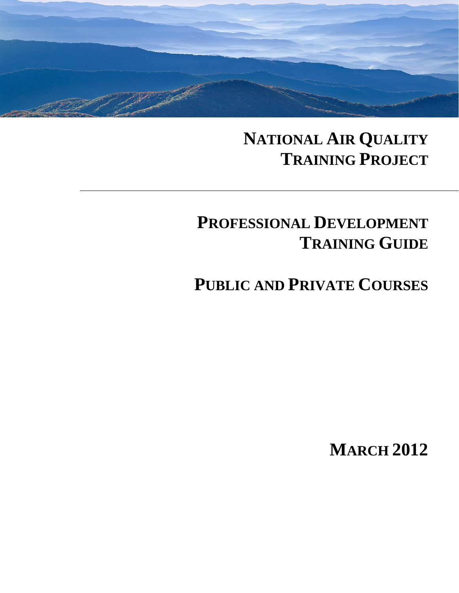

## **NATIONAL AIR QUALITY TRAINING PROJECT**

# **PROFESSIONAL DEVELOPMENT TRAINING GUIDE**

**PUBLIC AND PRIVATE COURSES**

**MARCH 2012**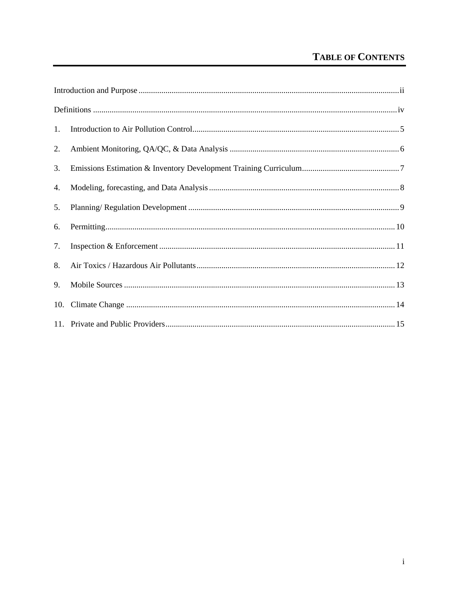### **TABLE OF CONTENTS**

| 1. |  |  |
|----|--|--|
| 2. |  |  |
| 3. |  |  |
| 4. |  |  |
| 5. |  |  |
| 6. |  |  |
| 7. |  |  |
| 8. |  |  |
| 9. |  |  |
|    |  |  |
|    |  |  |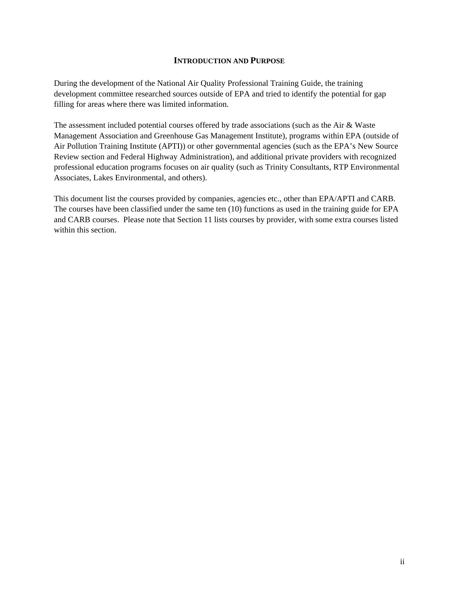#### **INTRODUCTION AND PURPOSE**

During the development of the National Air Quality Professional Training Guide, the training development committee researched sources outside of EPA and tried to identify the potential for gap filling for areas where there was limited information.

The assessment included potential courses offered by trade associations (such as the Air & Waste Management Association and Greenhouse Gas Management Institute), programs within EPA (outside of Air Pollution Training Institute (APTI)) or other governmental agencies (such as the EPA's New Source Review section and Federal Highway Administration), and additional private providers with recognized professional education programs focuses on air quality (such as Trinity Consultants, RTP Environmental Associates, Lakes Environmental, and others).

This document list the courses provided by companies, agencies etc., other than EPA/APTI and CARB. The courses have been classified under the same ten (10) functions as used in the training guide for EPA and CARB courses. Please note that Section 11 lists courses by provider, with some extra courses listed within this section.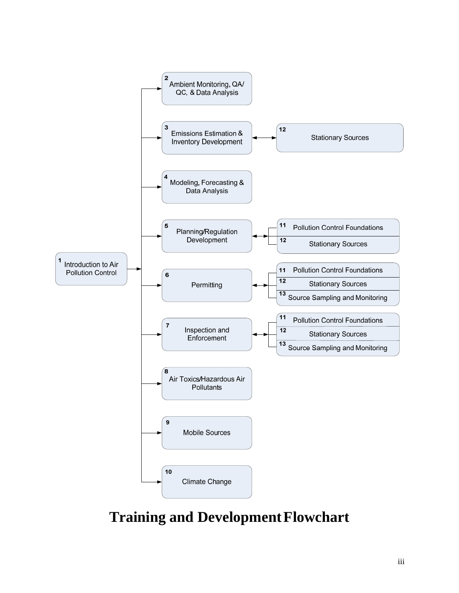

### **Training and Development Flowchart**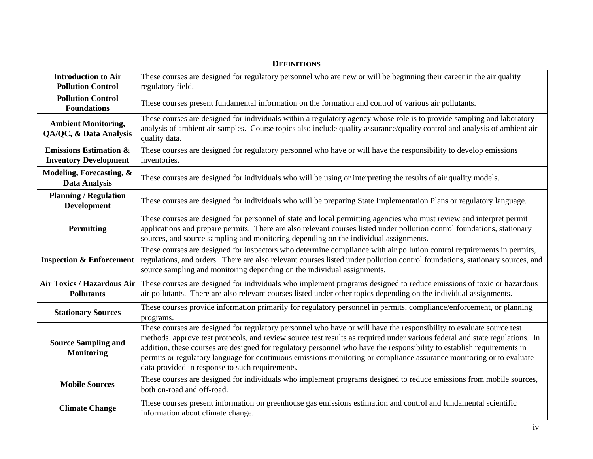| <b>Introduction to Air</b><br><b>Pollution Control</b>            | These courses are designed for regulatory personnel who are new or will be beginning their career in the air quality<br>regulatory field.                                                                                                                                                                                                                                                                                                                                                                                                                |
|-------------------------------------------------------------------|----------------------------------------------------------------------------------------------------------------------------------------------------------------------------------------------------------------------------------------------------------------------------------------------------------------------------------------------------------------------------------------------------------------------------------------------------------------------------------------------------------------------------------------------------------|
| <b>Pollution Control</b><br><b>Foundations</b>                    | These courses present fundamental information on the formation and control of various air pollutants.                                                                                                                                                                                                                                                                                                                                                                                                                                                    |
| <b>Ambient Monitoring,</b><br>QA/QC, & Data Analysis              | These courses are designed for individuals within a regulatory agency whose role is to provide sampling and laboratory<br>analysis of ambient air samples. Course topics also include quality assurance/quality control and analysis of ambient air<br>quality data.                                                                                                                                                                                                                                                                                     |
| <b>Emissions Estimation &amp;</b><br><b>Inventory Development</b> | These courses are designed for regulatory personnel who have or will have the responsibility to develop emissions<br>inventories.                                                                                                                                                                                                                                                                                                                                                                                                                        |
| Modeling, Forecasting, &<br><b>Data Analysis</b>                  | These courses are designed for individuals who will be using or interpreting the results of air quality models.                                                                                                                                                                                                                                                                                                                                                                                                                                          |
| <b>Planning / Regulation</b><br><b>Development</b>                | These courses are designed for individuals who will be preparing State Implementation Plans or regulatory language.                                                                                                                                                                                                                                                                                                                                                                                                                                      |
| <b>Permitting</b>                                                 | These courses are designed for personnel of state and local permitting agencies who must review and interpret permit<br>applications and prepare permits. There are also relevant courses listed under pollution control foundations, stationary<br>sources, and source sampling and monitoring depending on the individual assignments.                                                                                                                                                                                                                 |
| <b>Inspection &amp; Enforcement</b>                               | These courses are designed for inspectors who determine compliance with air pollution control requirements in permits,<br>regulations, and orders. There are also relevant courses listed under pollution control foundations, stationary sources, and<br>source sampling and monitoring depending on the individual assignments.                                                                                                                                                                                                                        |
| Air Toxics / Hazardous Air<br><b>Pollutants</b>                   | These courses are designed for individuals who implement programs designed to reduce emissions of toxic or hazardous<br>air pollutants. There are also relevant courses listed under other topics depending on the individual assignments.                                                                                                                                                                                                                                                                                                               |
| <b>Stationary Sources</b>                                         | These courses provide information primarily for regulatory personnel in permits, compliance/enforcement, or planning<br>programs.                                                                                                                                                                                                                                                                                                                                                                                                                        |
| <b>Source Sampling and</b><br><b>Monitoring</b>                   | These courses are designed for regulatory personnel who have or will have the responsibility to evaluate source test<br>methods, approve test protocols, and review source test results as required under various federal and state regulations. In<br>addition, these courses are designed for regulatory personnel who have the responsibility to establish requirements in<br>permits or regulatory language for continuous emissions monitoring or compliance assurance monitoring or to evaluate<br>data provided in response to such requirements. |
| <b>Mobile Sources</b>                                             | These courses are designed for individuals who implement programs designed to reduce emissions from mobile sources,<br>both on-road and off-road.                                                                                                                                                                                                                                                                                                                                                                                                        |
| <b>Climate Change</b>                                             | These courses present information on greenhouse gas emissions estimation and control and fundamental scientific<br>information about climate change.                                                                                                                                                                                                                                                                                                                                                                                                     |

#### **DEFINITIONS**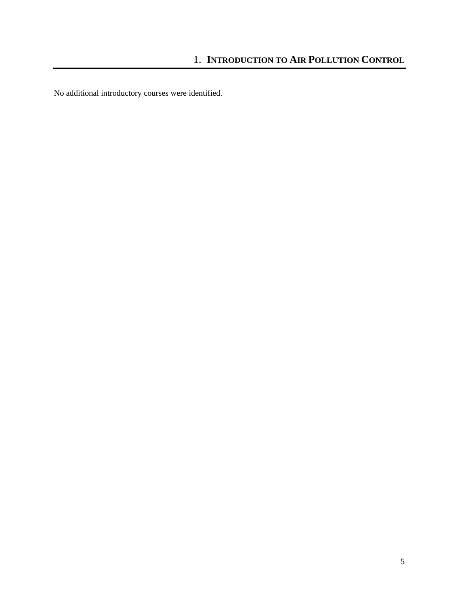No additional introductory courses were identified.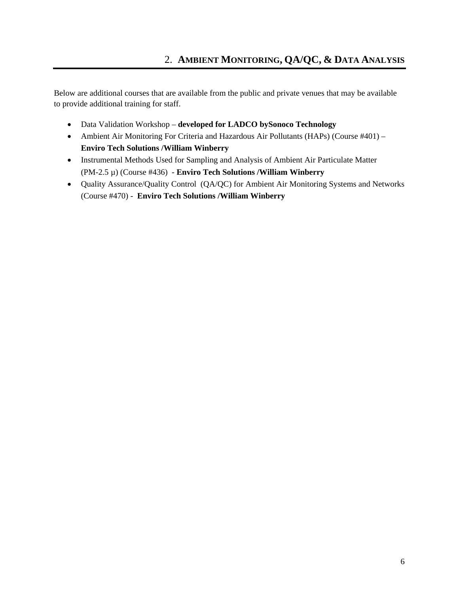- Data Validation Workshop – **developed for LADCO bySonoco Technology**
- Ambient Air Monitoring For Criteria and Hazardous Air Pollutants (HAPs) (Course #401) **Enviro Tech Solutions /William Winberry**
- Instrumental Methods Used for Sampling and Analysis of Ambient Air Particulate Matter (PM-2.5 µ) (Course #436) - **Enviro Tech Solutions /William Winberry**
- Quality Assurance/Quality Control (QA/QC) for Ambient Air Monitoring Systems and Networks (Course #470) - **Enviro Tech Solutions /William Winberry**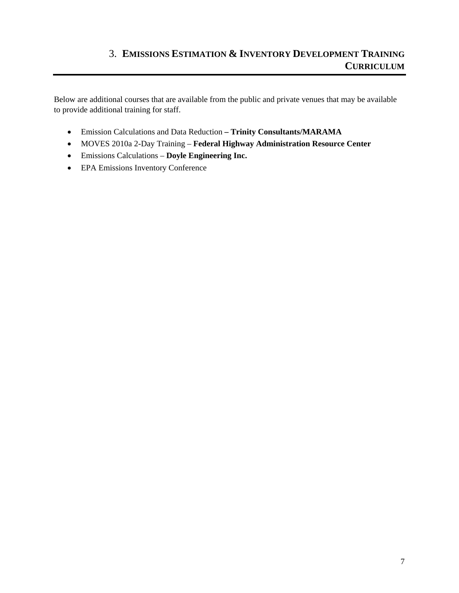#### 3. **EMISSIONS ESTIMATION & INVENTORY DEVELOPMENT TRAINING CURRICULUM**

- Emission Calculations and Data Reduction  **Trinity Consultants/MARAMA**
- MOVES 2010a 2-Day Training **Federal Highway Administration Resource Center**
- Emissions Calculations **Doyle Engineering Inc.**
- EPA Emissions Inventory Conference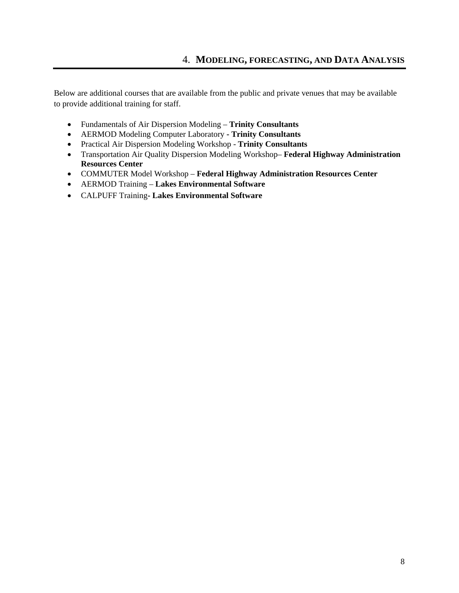- Fundamentals of Air Dispersion Modeling **Trinity Consultants**
- AERMOD Modeling Computer Laboratory **Trinity Consultants**
- Practical Air Dispersion Modeling Workshop - **Trinity Consultants**
- Transportation Air Quality Dispersion Modeling Workshop– **Federal Highway Administration Resources Center**
- COMMUTER Model Workshop **Federal Highway Administration Resources Center**
- AERMOD Training **Lakes Environmental Software**
- CALPUFF Training **Lakes Environmental Software**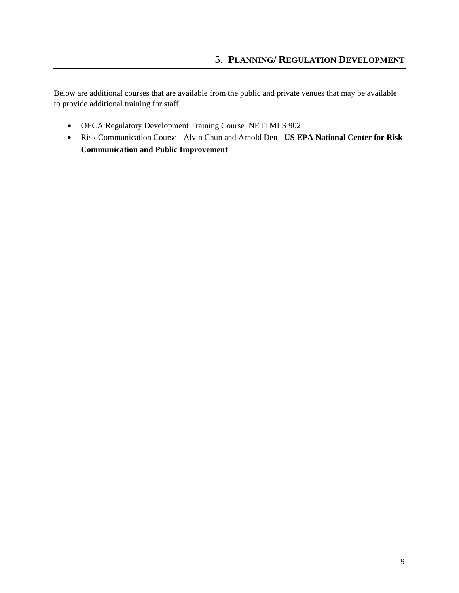- OECA Regulatory Development Training Course NETI MLS 902
- Risk Communication Course Alvin Chun and Arnold Den **US EPA National Center for Risk Communication and Public Improvement**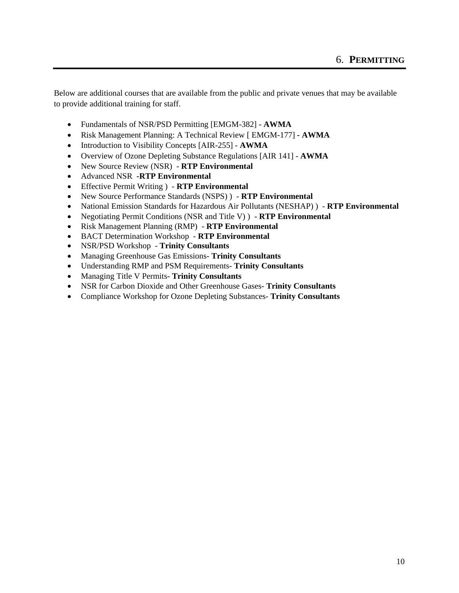- Fundamentals of NSR/PSD Permitting [EMGM-382] **AWMA**
- Risk Management Planning: A Technical Review [ EMGM-177] **AWMA**
- Introduction to Visibility Concepts [AIR-255] **AWMA**
- Overview of Ozone Depleting Substance Regulations [AIR 141] **AWMA**
- New Source Review (NSR) **RTP Environmental**
- Advanced NSR **-RTP Environmental**
- Effective Permit Writing ) **RTP Environmental**
- New Source Performance Standards (NSPS) ) **RTP Environmental**
- National Emission Standards for Hazardous Air Pollutants (NESHAP) ) **RTP Environmental**
- Negotiating Permit Conditions (NSR and Title V) ) **RTP Environmental**
- Risk Management Planning (RMP) **RTP Environmental**
- BACT Determination Workshop **RTP Environmental**
- NSR/PSD Workshop **Trinity Consultants**
- Managing Greenhouse Gas Emissions- **Trinity Consultants**
- Understanding RMP and PSM Requirements- **Trinity Consultants**
- Managing Title V Permits- **Trinity Consultants**
- NSR for Carbon Dioxide and Other Greenhouse Gases- **Trinity Consultants**
- Compliance Workshop for Ozone Depleting Substances- **Trinity Consultants**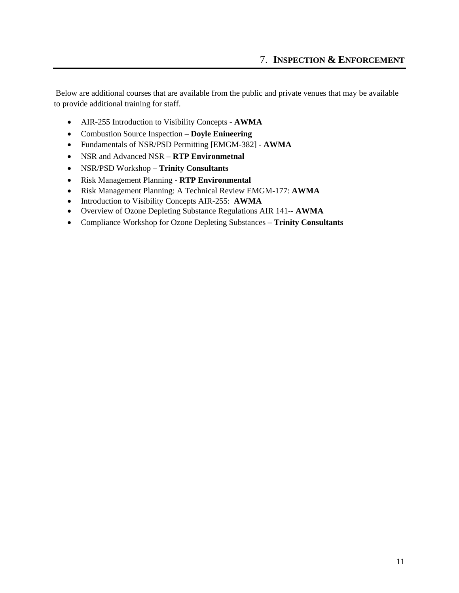- AIR-255 Introduction to Visibility Concepts **AWMA**
- Combustion Source Inspection **Doyle Enineering**
- Fundamentals of NSR/PSD Permitting [EMGM-382]  **AWMA**
- NSR and Advanced NSR **RTP Environmetnal**
- NSR/PSD Workshop **Trinity Consultants**
- Risk Management Planning **RTP Environmental**
- Risk Management Planning: A Technical Review EMGM-177: **AWMA**
- Introduction to Visibility Concepts AIR-255: AWMA
- Overview of Ozone Depleting Substance Regulations AIR 141- **AWMA**
- Compliance Workshop for Ozone Depleting Substances **Trinity Consultants**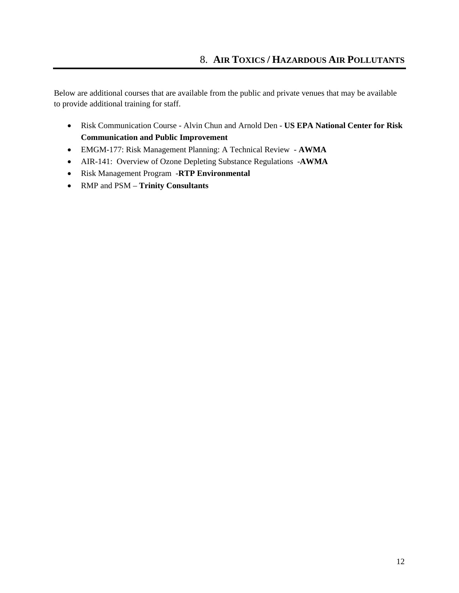- Risk Communication Course Alvin Chun and Arnold Den **US EPA National Center for Risk Communication and Public Improvement**
- EMGM-177: Risk Management Planning: A Technical Review - **AWMA**
- AIR-141: Overview of Ozone Depleting Substance Regulations -**AWMA**
- Risk Management Program -**RTP Environmental**
- RMP and PSM – **Trinity Consultants**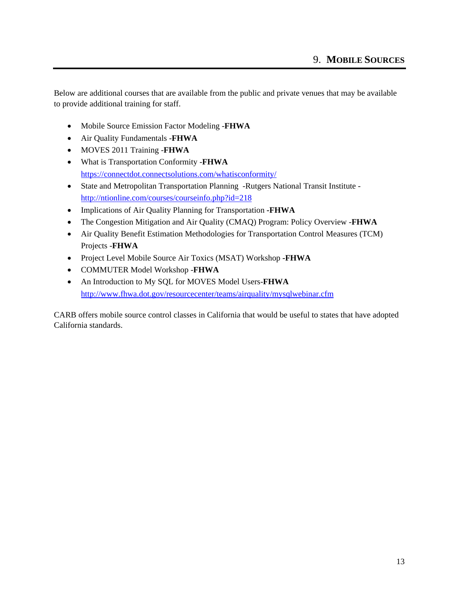- Mobile Source Emission Factor Modeling -**FHWA**
- Air Quality Fundamentals -**FHWA**
- MOVES 2011 Training -**FHWA**
- What is Transportation Conformity -**FHWA** https://connectdot.connectsolutions.com/whatisconformity/
- State and Metropolitan Transportation Planning -Rutgers National Transit Institute http://ntionline.com/courses/courseinfo.php?id=218
- Implications of Air Quality Planning for Transportation **-FHWA**
- The Congestion Mitigation and Air Quality (CMAQ) Program: Policy Overview -**FHWA**
- Air Quality Benefit Estimation Methodologies for Transportation Control Measures (TCM) Projects -**FHWA**
- Project Level Mobile Source Air Toxics (MSAT) Workshop **-FHWA**
- COMMUTER Model Workshop -**FHWA**
- An Introduction to My SQL for MOVES Model Users-**FHWA**  http://www.fhwa.dot.gov/resourcecenter/teams/airquality/mysqlwebinar.cfm

CARB offers mobile source control classes in California that would be useful to states that have adopted California standards.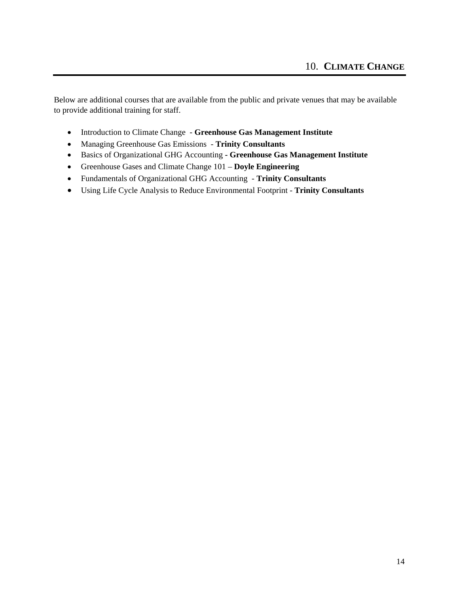- Introduction to Climate Change **Greenhouse Gas Management Institute**
- Managing Greenhouse Gas Emissions **Trinity Consultants**
- Basics of Organizational GHG Accounting  **Greenhouse Gas Management Institute**
- Greenhouse Gases and Climate Change 101 **Doyle Engineering**
- Fundamentals of Organizational GHG Accounting **Trinity Consultants**
- Using Life Cycle Analysis to Reduce Environmental Footprint **Trinity Consultants**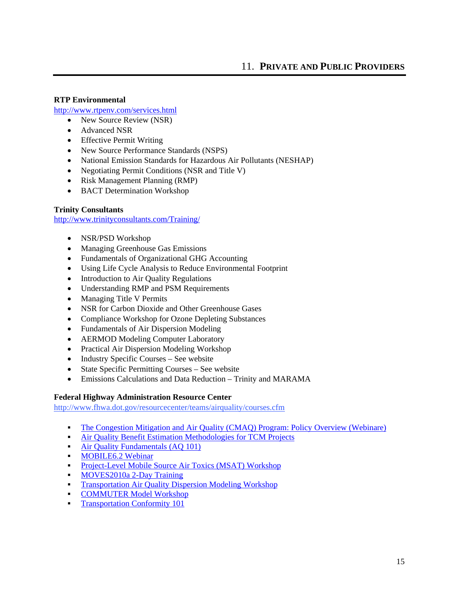#### **RTP Environmental**

http://www.rtpenv.com/services.html

- New Source Review (NSR)
- Advanced NSR
- Effective Permit Writing
- New Source Performance Standards (NSPS)
- National Emission Standards for Hazardous Air Pollutants (NESHAP)
- Negotiating Permit Conditions (NSR and Title V)
- Risk Management Planning (RMP)
- BACT Determination Workshop

#### **Trinity Consultants**

http://www.trinityconsultants.com/Training/

- NSR/PSD Workshop
- Managing Greenhouse Gas Emissions
- Fundamentals of Organizational GHG Accounting
- Using Life Cycle Analysis to Reduce Environmental Footprint
- Introduction to Air Quality Regulations
- Understanding RMP and PSM Requirements
- Managing Title V Permits
- NSR for Carbon Dioxide and Other Greenhouse Gases
- Compliance Workshop for Ozone Depleting Substances
- Fundamentals of Air Dispersion Modeling
- AERMOD Modeling Computer Laboratory
- Practical Air Dispersion Modeling Workshop
- Industry Specific Courses See website
- State Specific Permitting Courses See website
- Emissions Calculations and Data Reduction Trinity and MARAMA

#### **Federal Highway Administration Resource Center**

http://www.fhwa.dot.gov/resourcecenter/teams/airquality/courses.cfm

- The Congestion Mitigation and Air Quality (CMAQ) Program: Policy Overview (Webinare)
- Air Quality Benefit Estimation Methodologies for TCM Projects
- Air Quality Fundamentals (AQ 101)
- **MOBILE6.2 Webinar**
- Project-Level Mobile Source Air Toxics (MSAT) Workshop
- MOVES2010a 2-Day Training
- Transportation Air Quality Dispersion Modeling Workshop
- COMMUTER Model Workshop
- **Transportation Conformity 101**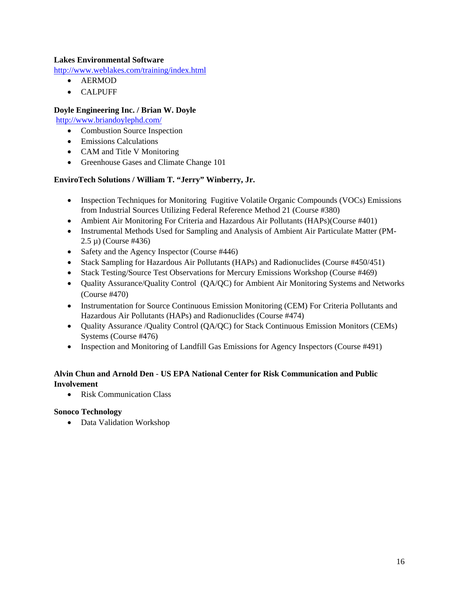#### **Lakes Environmental Software**

http://www.weblakes.com/training/index.html

- AERMOD
- CALPUFF

#### **Doyle Engineering Inc. / Brian W. Doyle**

http://www.briandoylephd.com/

- Combustion Source Inspection
- Emissions Calculations
- CAM and Title V Monitoring
- Greenhouse Gases and Climate Change 101

#### **EnviroTech Solutions / William T. "Jerry" Winberry, Jr.**

- Inspection Techniques for Monitoring Fugitive Volatile Organic Compounds (VOCs) Emissions from Industrial Sources Utilizing Federal Reference Method 21 (Course #380)
- Ambient Air Monitoring For Criteria and Hazardous Air Pollutants (HAPs)(Course #401)
- Instrumental Methods Used for Sampling and Analysis of Ambient Air Particulate Matter (PM-2.5 µ) (Course #436)
- Safety and the Agency Inspector (Course #446)
- Stack Sampling for Hazardous Air Pollutants (HAPs) and Radionuclides (Course #450/451)
- Stack Testing/Source Test Observations for Mercury Emissions Workshop (Course #469)
- Quality Assurance/Quality Control (QA/QC) for Ambient Air Monitoring Systems and Networks (Course #470)
- Instrumentation for Source Continuous Emission Monitoring (CEM) For Criteria Pollutants and Hazardous Air Pollutants (HAPs) and Radionuclides (Course #474)
- Quality Assurance /Quality Control (QA/QC) for Stack Continuous Emission Monitors (CEMs) Systems (Course #476)
- Inspection and Monitoring of Landfill Gas Emissions for Agency Inspectors (Course #491)

#### **Alvin Chun and Arnold Den** - **US EPA National Center for Risk Communication and Public Involvement**

• Risk Communication Class

#### **Sonoco Technology**

Data Validation Workshop